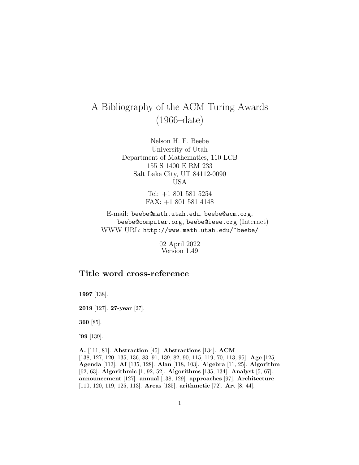# A Bibliography of the ACM Turing Awards (1966–date)

Nelson H. F. Beebe University of Utah Department of Mathematics, 110 LCB 155 S 1400 E RM 233 Salt Lake City, UT 84112-0090 USA

> Tel: +1 801 581 5254 FAX: +1 801 581 4148

E-mail: beebe@math.utah.edu, beebe@acm.org, beebe@computer.org, beebe@ieee.org (Internet) WWW URL: http://www.math.utah.edu/~beebe/

> 02 April 2022 Version 1.49

# **Title word cross-reference**

**1997** [138].

**2019** [127]. **27-year** [27].

**360** [85].

**'99** [139].

**A.** [111, 81]. **Abstraction** [45]. **Abstractions** [134]. **ACM** [138, 127, 120, 135, 136, 83, 91, 139, 82, 90, 115, 119, 70, 113, 95]. **Age** [125]. **Agenda** [113]. **AI** [135, 128]. **Alan** [118, 103]. **Algebra** [11, 25]. **Algorithm** [62, 63]. **Algorithmic** [1, 92, 52]. **Algorithms** [135, 134]. **Analyst** [5, 67]. **announcement** [127]. **annual** [138, 129]. **approaches** [97]. **Architecture** [110, 120, 119, 125, 113]. **Areas** [135]. **arithmetic** [72]. **Art** [8, 44].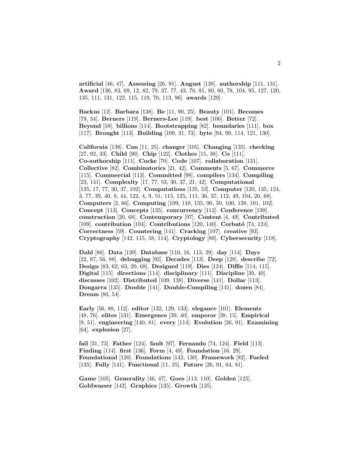**artificial** [46, 47]. **Assessing** [26, 91]. **August** [138]. **authorship** [111, 131]. **Award** [136, 83, 69, 12, 82, 79, 37, 77, 43, 76, 81, 80, 60, 78, 104, 95, 127, 120, 135, 111, 131, 122, 115, 119, 70, 113, 96]. **awards** [129].

**Backus** [12]. **Barbara** [138]. **Be** [11, 90, 25]. **Beauty** [101]. **Becomes** [79, 34]. **Berners** [119]. **Berners-Lee** [119]. **best** [106]. **Better** [72]. **Beyond** [59]. **billions** [114]. **Bootstrapping** [82]. **boundaries** [111]. **box** [117]. **Brought** [113]. **Building** [109, 31, 73]. **byte** [94, 99, 114, 121, 130].

**California** [138]. **Can** [11, 25]. **changer** [105]. **Changing** [135]. **checking** [27, 92, 33]. **Child** [90]. **Chip** [122]. **Clothes** [15, 38]. **Co** [111]. **Co-authorship** [111]. **Cocke** [70]. **Code** [107]. **collaboration** [131]. **Collective** [82]. **Combinatorics** [21, 42]. **Comments** [5, 67]. **Commerce** [115]. **Commercial** [113]. **Committed** [98]. **compilers** [134]. **Compiling** [23, 141]. **Complexity** [17, 77, 53, 30, 37, 21, 42]. **Computational** [135, 17, 77, 30, 37, 102]. **Computations** [135, 53]. **Computer** [120, 135, 124, 3, 77, 39, 40, 8, 44, 122, 4, 9, 51, 115, 125, 111, 36, 37, 112, 49, 104, 20, 68]. **Computers** [2, 66]. **Computing** [109, 110, 135, 90, 50, 100, 138, 101, 102]. **Concept** [113]. **Concepts** [135]. **concurrency** [112]. **Conference** [139]. **construction** [20, 68]. **Contemporary** [97]. **Content** [4, 49]. **Contributed** [109]. **contribution** [104]. **Contributions** [120, 140]. **Corbat´o** [74, 124]. **Correctness** [59]. **Countering** [141]. **Cracking** [107]. **creative** [93]. **Cryptography** [142, 115, 58, 114]. **Cryptology** [89]. **Cybersecurity** [118].

**Dahl** [86]. **Data** [139]. **Database** [110, 16, 113, 29]. **day** [114]. **Days** [22, 87, 56, 88]. **debugging** [92]. **Decades** [113]. **Deep** [128]. **describe** [72]. **Design** [83, 62, 63, 20, 68]. **Designed** [119]. **Dies** [124]. **Diffie** [114, 115]. **Digital** [115]. **directions** [114]. **disciplinary** [111]. **Discipline** [39, 40]. **discusses** [102]. **Distributed** [109, 138]. **Diverse** [141]. **Dollar** [113]. **Dongarra** [135]. **Double** [141]. **Double-Compiling** [141]. **dozen** [84]. **Dream** [80, 54].

**Early** [56, 88, 112]. **editor** [132, 129, 133]. **elegance** [101]. **Elements** [48, 76]. **elites** [131]. **Emergence** [39, 40]. **emperor** [38, 15]. **Empirical** [9, 51]. **engineering** [140, 81]. **every** [114]. **Evolution** [26, 91]. **Examining** [64]. **explosion** [27].

**fail** [31, 73]. **Father** [124]. **fault** [97]. **Fernando** [74, 124]. **Field** [113]. **Finding** [114]. **first** [136]. **Form** [4, 49]. **Foundation** [16, 29]. **Foundational** [120]. **Foundations** [142, 130]. **Framework** [82]. **Fueled** [135]. **Fully** [141]. **Functional** [11, 25]. **Future** [26, 91, 64, 81].

**Game** [105]. **Generality** [46, 47]. **Goes** [113, 110]. **Golden** [125]. **Goldwasser** [142]. **Graphics** [135]. **Growth** [135].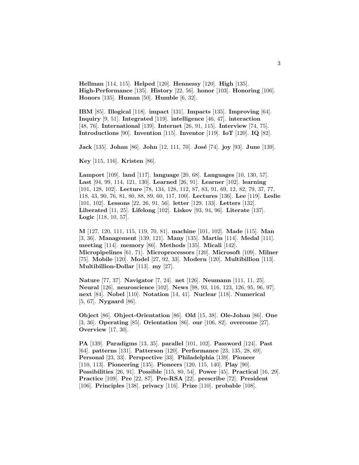**Hellman** [114, 115]. **Helped** [120]. **Hennessy** [120]. **High** [135]. **High-Performance** [135]. **History** [22, 56]. **honor** [103]. **Honoring** [106]. **Honors** [135]. **Human** [50]. **Humble** [6, 32].

**IBM** [85]. **Illogical** [118]. **impact** [131]. **Impacts** [135]. **Improving** [64]. **Inquiry** [9, 51]. **Integrated** [119]. **intelligence** [46, 47]. **interaction** [48, 76]. **International** [139]. **Internet** [26, 91, 115]. **Interview** [74, 75]. **Introductions** [90]. **Invention** [115]. **Inventor** [119]. **IoT** [120]. **IQ** [82].

**Jack** [135]. **Johan** [86]. **John** [12, 111, 70]. **Jos´e** [74]. **joy** [93]. **June** [139].

**Key** [115, 116]. **Kristen** [86].

**Lamport** [109]. **land** [117]. **language** [20, 68]. **Languages** [10, 130, 57]. **Last** [94, 99, 114, 121, 130]. **Learned** [26, 91]. **Learner** [102]. **learning** [101, 128, 102]. **Lecture** [78, 134, 128, 112, 87, 83, 91, 69, 12, 82, 79, 37, 77, 118, 43, 90, 76, 81, 80, 88, 89, 60, 117, 100]. **Lectures** [136]. **Lee** [119]. **Leslie** [101, 102]. **Lessons** [22, 26, 91, 56]. **letter** [129, 133]. **Letters** [132]. **Liberated** [11, 25]. **Lifelong** [102]. **Liskov** [93, 94, 96]. **Literate** [137]. **Logic** [118, 10, 57].

**M** [127, 120, 111, 115, 119, 70, 81]. **machine** [101, 102]. **Made** [115]. **Man** [3, 36]. **Management** [139, 121]. **Many** [135]. **Martin** [114]. **Medal** [111]. **meeting** [114]. **memory** [86]. **Methods** [135]. **Micali** [142]. **Micropipelines** [61, 71]. **Microprocessors** [120]. **Microsoft** [109]. **Milner** [75]. **Mobile** [120]. **Model** [27, 92, 33]. **Modern** [120]. **Multibillion** [113]. **Multibillion-Dollar** [113]. **my** [27].

**Nature** [77, 37]. **Navigator** [7, 24]. **net** [126]. **Neumann** [111, 11, 25]. **Neural** [126]. **neuroscience** [102]. **News** [98, 93, 116, 123, 126, 95, 96, 97]. **next** [84]. **Nobel** [110]. **Notation** [14, 41]. **Nuclear** [118]. **Numerical** [5, 67]. **Nygaard** [86].

**Object** [86]. **Object-Orientation** [86]. **Old** [15, 38]. **Ole-Johan** [86]. **One** [3, 36]. **Operating** [85]. **Orientation** [86]. **our** [106, 82]. **overcome** [27]. **Overview** [17, 30].

**PA** [139]. **Paradigms** [13, 35]. **parallel** [101, 102]. **Password** [124]. **Past** [64]. **patterns** [131]. **Patterson** [120]. **Performance** [23, 135, 28, 69]. **Personal** [23, 33]. **Perspective** [33]. **Philadelphia** [139]. **Pioneer** [110, 113]. **Pioneering** [135]. **Pioneers** [120, 115, 140]. **Play** [90]. **Possibilities** [26, 91]. **Possible** [115, 80, 54]. **Power** [45]. **Practical** [16, 29]. **Practice** [109]. **Pre** [22, 87]. **Pre-RSA** [22]. **prescribe** [72]. **President** [106]. **Principles** [138]. **privacy** [116]. **Prize** [110]. **probable** [108].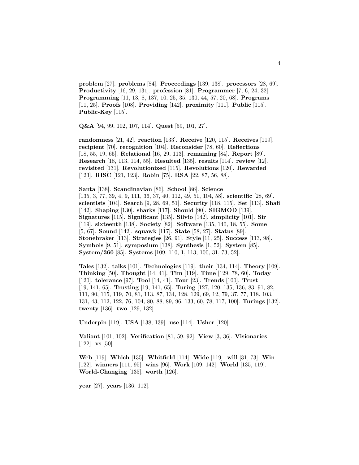**problem** [27]. **problems** [84]. **Proceedings** [139, 138]. **processors** [28, 69]. **Productivity** [16, 29, 131]. **profession** [81]. **Programmer** [7, 6, 24, 32]. **Programming** [11, 13, 8, 137, 10, 25, 35, 130, 44, 57, 20, 68]. **Programs** [11, 25]. **Proofs** [108]. **Providing** [142]. **proximity** [111]. **Public** [115]. **Public-Key** [115].

**Q&A** [94, 99, 102, 107, 114]. **Quest** [59, 101, 27].

**randomness** [21, 42]. **reaction** [133]. **Receive** [120, 115]. **Receives** [119]. **recipient** [70]. **recognition** [104]. **Reconsider** [78, 60]. **Reflections** [18, 55, 19, 65]. **Relational** [16, 29, 113]. **remaining** [84]. **Report** [89]. **Research** [18, 113, 114, 55]. **Resulted** [135]. **results** [114]. **review** [12]. **revisited** [131]. **Revolutionized** [115]. **Revolutions** [120]. **Rewarded** [123]. **RISC** [121, 123]. **Robin** [75]. **RSA** [22, 87, 56, 88].

**Santa** [138]. **Scandinavian** [86]. **School** [86]. **Science** [135, 3, 77, 39, 4, 9, 111, 36, 37, 40, 112, 49, 51, 104, 58]. **scientific** [28, 69]. **scientists** [104]. **Search** [9, 28, 69, 51]. **Security** [118, 115]. **Set** [113]. **Shafi** [142]. **Shaping** [130]. **sharks** [117]. **Should** [90]. **SIGMOD** [139]. **Signatures** [115]. **Significant** [135]. **Silvio** [142]. **simplicity** [101]. **Sir** [119]. **sixteenth** [138]. **Society** [82]. **Software** [135, 140, 18, 55]. **Some** [5, 67]. **Sound** [142]. **squawk** [117]. **State** [58, 27]. **Status** [89]. **Stonebraker** [113]. **Strategies** [26, 91]. **Style** [11, 25]. **Success** [113, 98]. **Symbols** [9, 51]. **symposium** [138]. **Synthesis** [1, 52]. **System** [85]. **System/360** [85]. **Systems** [109, 110, 1, 113, 100, 31, 73, 52].

**Tales** [132]. **talks** [101]. **Technologies** [119]. **their** [134, 114]. **Theory** [109]. **Thinking** [50]. **Thought** [14, 41]. **Tim** [119]. **Time** [129, 78, 60]. **Today** [120]. **tolerance** [97]. **Tool** [14, 41]. **Tour** [23]. **Trends** [100]. **Trust** [19, 141, 65]. **Trusting** [19, 141, 65]. **Turing** [127, 120, 135, 136, 83, 91, 82, 111, 90, 115, 119, 70, 81, 113, 87, 134, 128, 129, 69, 12, 79, 37, 77, 118, 103, 131, 43, 112, 122, 76, 104, 80, 88, 89, 96, 133, 60, 78, 117, 100]. **Turings** [132]. **twenty** [136]. **two** [129, 132].

**Underpin** [119]. **USA** [138, 139]. **use** [114]. **Usher** [120].

**Valiant** [101, 102]. **Verification** [81, 59, 92]. **View** [3, 36]. **Visionaries** [122]. **vs** [50].

**Web** [119]. **Which** [135]. **Whitfield** [114]. **Wide** [119]. **will** [31, 73]. **Win** [122]. **winners** [111, 95]. **wins** [96]. **Work** [109, 142]. **World** [135, 119]. **World-Changing** [135]. **worth** [126].

**year** [27]. **years** [136, 112].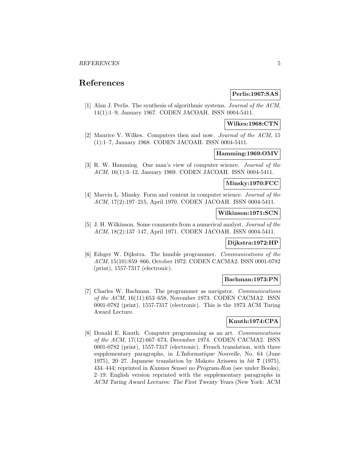# **References**

# **Perlis:1967:SAS**

[1] Alan J. Perlis. The synthesis of algorithmic systems. Journal of the ACM, 14(1):1–9, January 1967. CODEN JACOAH. ISSN 0004-5411.

### **Wilkes:1968:CTN**

[2] Maurice V. Wilkes. Computers then and now. Journal of the ACM, 15 (1):1–7, January 1968. CODEN JACOAH. ISSN 0004-5411.

# **Hamming:1969:OMV**

[3] R. W. Hamming. One man's view of computer science. Journal of the ACM, 16(1):3–12, January 1969. CODEN JACOAH. ISSN 0004-5411.

# **Minsky:1970:FCC**

[4] Marvin L. Minsky. Form and content in computer science. Journal of the ACM, 17(2):197–215, April 1970. CODEN JACOAH. ISSN 0004-5411.

# **Wilkinson:1971:SCN**

[5] J. H. Wilkinson. Some comments from a numerical analyst. Journal of the ACM, 18(2):137–147, April 1971. CODEN JACOAH. ISSN 0004-5411.

#### **Dijkstra:1972:HP**

[6] Edsger W. Dijkstra. The humble programmer. Communications of the ACM, 15(10):859–866, October 1972. CODEN CACMA2. ISSN 0001-0782 (print), 1557-7317 (electronic).

### **Bachman:1973:PN**

[7] Charles W. Bachman. The programmer as navigator. Communications of the ACM, 16(11):653–658, November 1973. CODEN CACMA2. ISSN 0001-0782 (print), 1557-7317 (electronic). This is the 1973 ACM Turing Award Lecture.

# **Knuth:1974:CPA**

[8] Donald E. Knuth. Computer programming as an art. Communications of the ACM, 17(12):667–673, December 1974. CODEN CACMA2. ISSN 0001-0782 (print), 1557-7317 (electronic). French translation, with three supplementary paragraphs, in *L'Informatique Nouvelle*, No. 64 (June 1975), 20–27. Japanese translation by Makoto Arisawa in *bit* **7** (1975), 434–444; reprinted in *Kunusu Sensei no Program-Ron* (see under Books), 2–19. English version reprinted with the supplementary paragraphs in *ACM Turing Award Lectures: The First Twenty Years* (New York: ACM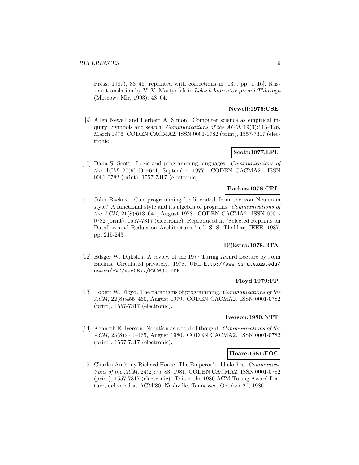Press, 1987), 33–46; reprinted with corrections in [137, pp. 1–16]. Russian translation by V. V. Martyn iuk in *Lektsii laureatov premii T'ıuringa* (Moscow: Mir, 1993), 48–64.

# **Newell:1976:CSE**

[9] Allen Newell and Herbert A. Simon. Computer science as empirical inquiry: Symbols and search. Communications of the ACM,  $19(3):113-126$ , March 1976. CODEN CACMA2. ISSN 0001-0782 (print), 1557-7317 (electronic).

# **Scott:1977:LPL**

[10] Dana S. Scott. Logic and programming languages. Communications of the ACM, 20(9):634–641, September 1977. CODEN CACMA2. ISSN 0001-0782 (print), 1557-7317 (electronic).

# **Backus:1978:CPL**

[11] John Backus. Can programming be liberated from the von Neumann style? A functional style and its algebra of programs. Communications of the ACM, 21(8):613–641, August 1978. CODEN CACMA2. ISSN 0001- 0782 (print), 1557-7317 (electronic). Reproduced in "Selected Reprints on Dataflow and Reduction Architectures" ed. S. S. Thakkar, IEEE, 1987, pp. 215-243.

# **Dijkstra:1978:RTA**

[12] Edsger W. Dijkstra. A review of the 1977 Turing Award Lecture by John Backus. Circulated privately., 1978. URL http://www.cs.utexas.edu/ users/EWD/ewd06xx/EWD692.PDF.

# **Floyd:1979:PP**

[13] Robert W. Floyd. The paradigms of programming. Communications of the ACM, 22(8):455–460, August 1979. CODEN CACMA2. ISSN 0001-0782 (print), 1557-7317 (electronic).

#### **Iverson:1980:NTT**

[14] Kenneth E. Iverson. Notation as a tool of thought. Communications of the ACM, 23(8):444–465, August 1980. CODEN CACMA2. ISSN 0001-0782 (print), 1557-7317 (electronic).

### **Hoare:1981:EOC**

[15] Charles Anthony Richard Hoare. The Emperor's old clothes. Communications of the ACM, 24(2):75–83, 1981. CODEN CACMA2. ISSN 0001-0782 (print), 1557-7317 (electronic). This is the 1980 ACM Turing Award Lecture, delivered at ACM'80, Nashville, Tennessee, October 27, 1980.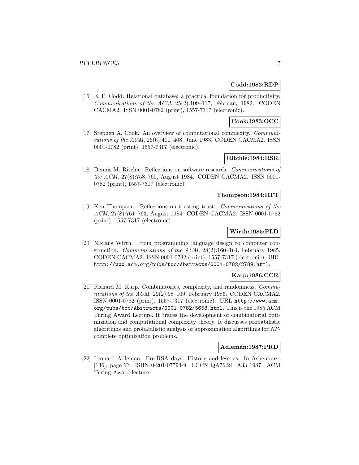# **Codd:1982:RDP**

[16] E. F. Codd. Relational database: a practical foundation for productivity. Communications of the ACM, 25(2):109–117, February 1982. CODEN CACMA2. ISSN 0001-0782 (print), 1557-7317 (electronic).

**Cook:1983:OCC**

[17] Stephen A. Cook. An overview of computational complexity. Communications of the ACM, 26(6):400–408, June 1983. CODEN CACMA2. ISSN 0001-0782 (print), 1557-7317 (electronic).

# **Ritchie:1984:RSR**

[18] Dennis M. Ritchie. Reflections on software research. Communications of the ACM, 27(8):758–760, August 1984. CODEN CACMA2. ISSN 0001- 0782 (print), 1557-7317 (electronic).

#### **Thompson:1984:RTT**

[19] Ken Thompson. Reflections on trusting trust. Communications of the ACM, 27(8):761–763, August 1984. CODEN CACMA2. ISSN 0001-0782 (print), 1557-7317 (electronic).

# **Wirth:1985:PLD**

[20] Niklaus Wirth. From programming language design to computer construction. Communications of the ACM, 28(2):160–164, February 1985. CODEN CACMA2. ISSN 0001-0782 (print), 1557-7317 (electronic). URL http://www.acm.org/pubs/toc/Abstracts/0001-0782/2789.html.

### **Karp:1986:CCR**

[21] Richard M. Karp. Combinatorics, complexity, and randomness. Communications of the ACM, 29(2):98–109, February 1986. CODEN CACMA2. ISSN 0001-0782 (print), 1557-7317 (electronic). URL http://www.acm. org/pubs/toc/Abstracts/0001-0782/5658.html. This is the 1985 ACM Turing Award Lecture. It traces the development of combinatorial optimization and computational complexity theory. It discusses probabilistic algorithms and probabilistic analysis of approximation algorithms for NPcomplete optimization problems.

#### **Adleman:1987:PRD**

[22] Leonard Adleman. Pre-RSA days: History and lessons. In Ashenhurst [136], page ?? ISBN 0-201-07794-9. LCCN QA76.24 .A33 1987. ACM Turing Award lecture.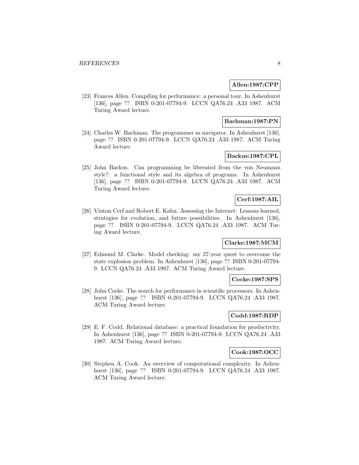# **Allen:1987:CPP**

[23] Frances Allen. Compiling for performance: a personal tour. In Ashenhurst [136], page ?? ISBN 0-201-07794-9. LCCN QA76.24 .A33 1987. ACM Turing Award lecture.

### **Bachman:1987:PN**

[24] Charles W. Bachman. The programmer as navigator. In Ashenhurst [136], page ?? ISBN 0-201-07794-9. LCCN QA76.24 .A33 1987. ACM Turing Award lecture.

# **Backus:1987:CPL**

[25] John Backus. Can programming be liberated from the von Neumann style?: a functional style and its algebra of programs. In Ashenhurst [136], page ?? ISBN 0-201-07794-9. LCCN QA76.24 .A33 1987. ACM Turing Award lecture.

# **Cerf:1987:AIL**

[26] Vinton Cerf and Robert E. Kahn. Assessing the Internet: Lessons learned, strategies for evolution, and future possibilities. In Ashenhurst [136], page ?? ISBN 0-201-07794-9. LCCN QA76.24 .A33 1987. ACM Turing Award lecture.

# **Clarke:1987:MCM**

[27] Edmund M. Clarke. Model checking: my 27-year quest to overcome the state explosion problem. In Ashenhurst [136], page ?? ISBN 0-201-07794- 9. LCCN QA76.24 .A33 1987. ACM Turing Award lecture.

### **Cocke:1987:SPS**

[28] John Cocke. The search for performance in scientific processors. In Ashenhurst [136], page ?? ISBN 0-201-07794-9. LCCN QA76.24 .A33 1987. ACM Turing Award lecture.

# **Codd:1987:RDP**

[29] E. F. Codd. Relational database: a practical foundation for productivity. In Ashenhurst [136], page ?? ISBN 0-201-07794-9. LCCN QA76.24 .A33 1987. ACM Turing Award lecture.

# **Cook:1987:OCC**

[30] Stephen A. Cook. An overview of computational complexity. In Ashenhurst [136], page ?? ISBN 0-201-07794-9. LCCN QA76.24 .A33 1987. ACM Turing Award lecture.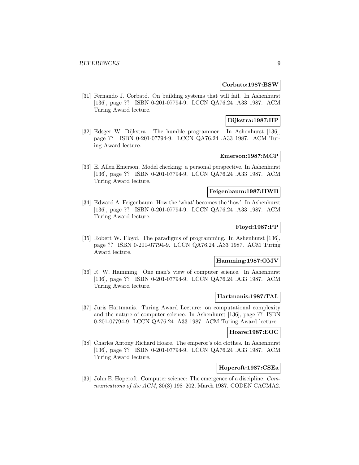#### **Corbato:1987:BSW**

[31] Fernando J. Corbató. On building systems that will fail. In Ashenhurst [136], page ?? ISBN 0-201-07794-9. LCCN QA76.24 .A33 1987. ACM Turing Award lecture.

# **Dijkstra:1987:HP**

[32] Edsger W. Dijkstra. The humble programmer. In Ashenhurst [136], page ?? ISBN 0-201-07794-9. LCCN QA76.24 .A33 1987. ACM Turing Award lecture.

# **Emerson:1987:MCP**

[33] E. Allen Emerson. Model checking: a personal perspective. In Ashenhurst [136], page ?? ISBN 0-201-07794-9. LCCN QA76.24 .A33 1987. ACM Turing Award lecture.

### **Feigenbaum:1987:HWB**

[34] Edward A. Feigenbaum. How the 'what' becomes the 'how'. In Ashenhurst [136], page ?? ISBN 0-201-07794-9. LCCN QA76.24 .A33 1987. ACM Turing Award lecture.

# **Floyd:1987:PP**

[35] Robert W. Floyd. The paradigms of programming. In Ashenhurst [136], page ?? ISBN 0-201-07794-9. LCCN QA76.24 .A33 1987. ACM Turing Award lecture.

# **Hamming:1987:OMV**

[36] R. W. Hamming. One man's view of computer science. In Ashenhurst [136], page ?? ISBN 0-201-07794-9. LCCN QA76.24 .A33 1987. ACM Turing Award lecture.

### **Hartmanis:1987:TAL**

[37] Juris Hartmanis. Turing Award Lecture: on computational complexity and the nature of computer science. In Ashenhurst [136], page ?? ISBN 0-201-07794-9. LCCN QA76.24 .A33 1987. ACM Turing Award lecture.

# **Hoare:1987:EOC**

[38] Charles Antony Richard Hoare. The emperor's old clothes. In Ashenhurst [136], page ?? ISBN 0-201-07794-9. LCCN QA76.24 .A33 1987. ACM Turing Award lecture.

# **Hopcroft:1987:CSEa**

[39] John E. Hopcroft. Computer science: The emergence of a discipline. Communications of the ACM, 30(3):198–202, March 1987. CODEN CACMA2.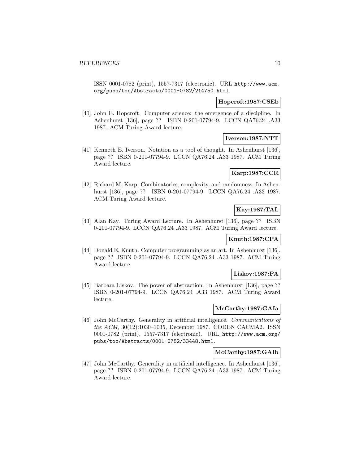ISSN 0001-0782 (print), 1557-7317 (electronic). URL http://www.acm. org/pubs/toc/Abstracts/0001-0782/214750.html.

#### **Hopcroft:1987:CSEb**

[40] John E. Hopcroft. Computer science: the emergence of a discipline. In Ashenhurst [136], page ?? ISBN 0-201-07794-9. LCCN QA76.24 .A33 1987. ACM Turing Award lecture.

# **Iverson:1987:NTT**

[41] Kenneth E. Iverson. Notation as a tool of thought. In Ashenhurst [136], page ?? ISBN 0-201-07794-9. LCCN QA76.24 .A33 1987. ACM Turing Award lecture.

# **Karp:1987:CCR**

[42] Richard M. Karp. Combinatorics, complexity, and randomness. In Ashenhurst [136], page ?? ISBN 0-201-07794-9. LCCN QA76.24 .A33 1987. ACM Turing Award lecture.

# **Kay:1987:TAL**

[43] Alan Kay. Turing Award Lecture. In Ashenhurst [136], page ?? ISBN 0-201-07794-9. LCCN QA76.24 .A33 1987. ACM Turing Award lecture.

# **Knuth:1987:CPA**

[44] Donald E. Knuth. Computer programming as an art. In Ashenhurst [136], page ?? ISBN 0-201-07794-9. LCCN QA76.24 .A33 1987. ACM Turing Award lecture.

# **Liskov:1987:PA**

[45] Barbara Liskov. The power of abstraction. In Ashenhurst [136], page ?? ISBN 0-201-07794-9. LCCN QA76.24 .A33 1987. ACM Turing Award lecture.

# **McCarthy:1987:GAIa**

[46] John McCarthy. Generality in artificial intelligence. Communications of the ACM, 30(12):1030–1035, December 1987. CODEN CACMA2. ISSN 0001-0782 (print), 1557-7317 (electronic). URL http://www.acm.org/ pubs/toc/Abstracts/0001-0782/33448.html.

### **McCarthy:1987:GAIb**

[47] John McCarthy. Generality in artificial intelligence. In Ashenhurst [136], page ?? ISBN 0-201-07794-9. LCCN QA76.24 .A33 1987. ACM Turing Award lecture.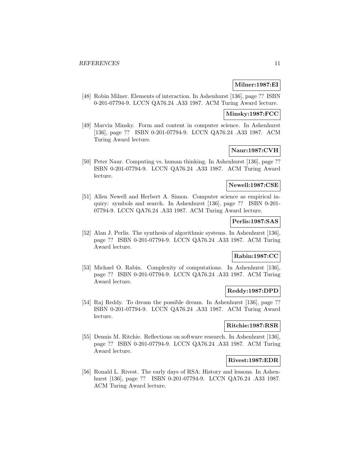# **Milner:1987:EI**

[48] Robin Milner. Elements of interaction. In Ashenhurst [136], page ?? ISBN 0-201-07794-9. LCCN QA76.24 .A33 1987. ACM Turing Award lecture.

# **Minsky:1987:FCC**

[49] Marvin Minsky. Form and content in computer science. In Ashenhurst [136], page ?? ISBN 0-201-07794-9. LCCN QA76.24 .A33 1987. ACM Turing Award lecture.

# **Naur:1987:CVH**

[50] Peter Naur. Computing vs. human thinking. In Ashenhurst [136], page ?? ISBN 0-201-07794-9. LCCN QA76.24 .A33 1987. ACM Turing Award lecture.

### **Newell:1987:CSE**

[51] Allen Newell and Herbert A. Simon. Computer science as empirical inquiry: symbols and search. In Ashenhurst [136], page ?? ISBN 0-201- 07794-9. LCCN QA76.24 .A33 1987. ACM Turing Award lecture.

### **Perlis:1987:SAS**

[52] Alan J. Perlis. The synthesis of algorithmic systems. In Ashenhurst [136], page ?? ISBN 0-201-07794-9. LCCN QA76.24 .A33 1987. ACM Turing Award lecture.

# **Rabin:1987:CC**

[53] Michael O. Rabin. Complexity of computations. In Ashenhurst [136], page ?? ISBN 0-201-07794-9. LCCN QA76.24 .A33 1987. ACM Turing Award lecture.

# **Reddy:1987:DPD**

[54] Raj Reddy. To dream the possible dream. In Ashenhurst [136], page ?? ISBN 0-201-07794-9. LCCN QA76.24 .A33 1987. ACM Turing Award lecture.

# **Ritchie:1987:RSR**

[55] Dennis M. Ritchie. Reflections on software research. In Ashenhurst [136], page ?? ISBN 0-201-07794-9. LCCN QA76.24 .A33 1987. ACM Turing Award lecture.

# **Rivest:1987:EDR**

[56] Ronald L. Rivest. The early days of RSA: History and lessons. In Ashenhurst [136], page ?? ISBN 0-201-07794-9. LCCN QA76.24 .A33 1987. ACM Turing Award lecture.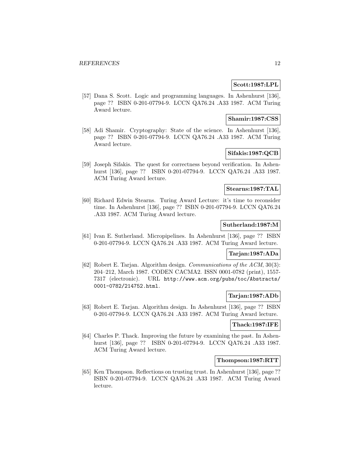### **Scott:1987:LPL**

[57] Dana S. Scott. Logic and programming languages. In Ashenhurst [136], page ?? ISBN 0-201-07794-9. LCCN QA76.24 .A33 1987. ACM Turing Award lecture.

### **Shamir:1987:CSS**

[58] Adi Shamir. Cryptography: State of the science. In Ashenhurst [136], page ?? ISBN 0-201-07794-9. LCCN QA76.24 .A33 1987. ACM Turing Award lecture.

### **Sifakis:1987:QCB**

[59] Joseph Sifakis. The quest for correctness beyond verification. In Ashenhurst [136], page ?? ISBN 0-201-07794-9. LCCN QA76.24 .A33 1987. ACM Turing Award lecture.

# **Stearns:1987:TAL**

[60] Richard Edwin Stearns. Turing Award Lecture: it's time to reconsider time. In Ashenhurst [136], page ?? ISBN 0-201-07794-9. LCCN QA76.24 .A33 1987. ACM Turing Award lecture.

# **Sutherland:1987:M**

[61] Ivan E. Sutherland. Micropipelines. In Ashenhurst [136], page ?? ISBN 0-201-07794-9. LCCN QA76.24 .A33 1987. ACM Turing Award lecture.

# **Tarjan:1987:ADa**

[62] Robert E. Tarjan. Algorithm design. Communications of the ACM, 30(3): 204–212, March 1987. CODEN CACMA2. ISSN 0001-0782 (print), 1557- 7317 (electronic). URL http://www.acm.org/pubs/toc/Abstracts/ 0001-0782/214752.html.

### **Tarjan:1987:ADb**

[63] Robert E. Tarjan. Algorithm design. In Ashenhurst [136], page ?? ISBN 0-201-07794-9. LCCN QA76.24 .A33 1987. ACM Turing Award lecture.

### **Thack:1987:IFE**

[64] Charles P. Thack. Improving the future by examining the past. In Ashenhurst [136], page ?? ISBN 0-201-07794-9. LCCN QA76.24 .A33 1987. ACM Turing Award lecture.

#### **Thompson:1987:RTT**

[65] Ken Thompson. Reflections on trusting trust. In Ashenhurst [136], page ?? ISBN 0-201-07794-9. LCCN QA76.24 .A33 1987. ACM Turing Award lecture.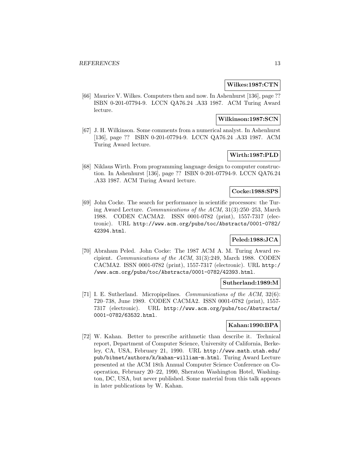#### **Wilkes:1987:CTN**

[66] Maurice V. Wilkes. Computers then and now. In Ashenhurst [136], page ?? ISBN 0-201-07794-9. LCCN QA76.24 .A33 1987. ACM Turing Award lecture.

### **Wilkinson:1987:SCN**

[67] J. H. Wilkinson. Some comments from a numerical analyst. In Ashenhurst [136], page ?? ISBN 0-201-07794-9. LCCN QA76.24 .A33 1987. ACM Turing Award lecture.

# **Wirth:1987:PLD**

[68] Niklaus Wirth. From programming language design to computer construction. In Ashenhurst [136], page ?? ISBN 0-201-07794-9. LCCN QA76.24 .A33 1987. ACM Turing Award lecture.

### **Cocke:1988:SPS**

[69] John Cocke. The search for performance in scientific processors: the Turing Award Lecture. Communications of the ACM, 31(3):250–253, March 1988. CODEN CACMA2. ISSN 0001-0782 (print), 1557-7317 (electronic). URL http://www.acm.org/pubs/toc/Abstracts/0001-0782/ 42394.html.

### **Peled:1988:JCA**

[70] Abraham Peled. John Cocke: The 1987 ACM A. M. Turing Award recipient. Communications of the ACM, 31(3):249, March 1988. CODEN CACMA2. ISSN 0001-0782 (print), 1557-7317 (electronic). URL http:/ /www.acm.org/pubs/toc/Abstracts/0001-0782/42393.html.

### **Sutherland:1989:M**

[71] I. E. Sutherland. Micropipelines. Communications of the ACM, 32(6): 720–738, June 1989. CODEN CACMA2. ISSN 0001-0782 (print), 1557- 7317 (electronic). URL http://www.acm.org/pubs/toc/Abstracts/ 0001-0782/63532.html.

# **Kahan:1990:BPA**

[72] W. Kahan. Better to prescribe arithmetic than describe it. Technical report, Department of Computer Science, University of California, Berkeley, CA, USA, February 21, 1990. URL http://www.math.utah.edu/ pub/bibnet/authors/k/kahan-william-m.html. Turing Award Lecture presented at the ACM 18th Annual Computer Science Conference on Cooperation, February 20–22, 1990, Sheraton Washington Hotel, Washington, DC, USA, but never published. Some material from this talk appears in later publications by W. Kahan.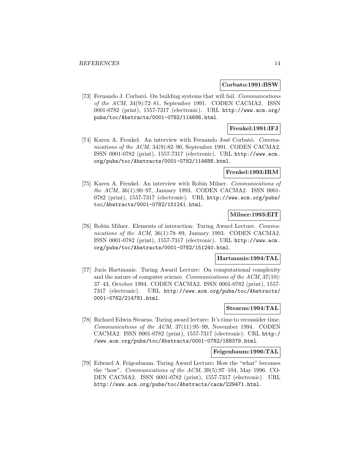#### **Corbato:1991:BSW**

[73] Fernando J. Corbató. On building systems that will fail. Communications of the ACM, 34(9):72–81, September 1991. CODEN CACMA2. ISSN 0001-0782 (print), 1557-7317 (electronic). URL http://www.acm.org/ pubs/toc/Abstracts/0001-0782/114686.html.

# **Frenkel:1991:IFJ**

[74] Karen A. Frenkel. An interview with Fernando José Corbató. Communications of the ACM, 34(9):82–90, September 1991. CODEN CACMA2. ISSN 0001-0782 (print), 1557-7317 (electronic). URL http://www.acm. org/pubs/toc/Abstracts/0001-0782/114688.html.

#### **Frenkel:1993:IRM**

[75] Karen A. Frenkel. An interview with Robin Milner. Communications of the ACM, 36(1):90–97, January 1993. CODEN CACMA2. ISSN 0001- 0782 (print), 1557-7317 (electronic). URL http://www.acm.org/pubs/ toc/Abstracts/0001-0782/151241.html.

# **Milner:1993:EIT**

[76] Robin Milner. Elements of interaction: Turing Award Lecture. Communications of the ACM, 36(1):78–89, January 1993. CODEN CACMA2. ISSN 0001-0782 (print), 1557-7317 (electronic). URL http://www.acm. org/pubs/toc/Abstracts/0001-0782/151240.html.

### **Hartmanis:1994:TAL**

[77] Juris Hartmanis. Turing Award Lecture: On computational complexity and the nature of computer science. Communications of the ACM, 37(10): 37–43, October 1994. CODEN CACMA2. ISSN 0001-0782 (print), 1557- 7317 (electronic). URL http://www.acm.org/pubs/toc/Abstracts/ 0001-0782/214781.html.

#### **Stearns:1994:TAL**

[78] Richard Edwin Stearns. Turing award lecture: It's time to reconsider time. Communications of the ACM, 37(11):95–99, November 1994. CODEN CACMA2. ISSN 0001-0782 (print), 1557-7317 (electronic). URL http:/ /www.acm.org/pubs/toc/Abstracts/0001-0782/188379.html.

#### **Feigenbaum:1996:TAL**

[79] Edward A. Feigenbaum. Turing Award Lecture: How the "what" becomes the "how". Communications of the ACM, 39(5):97–104, May 1996. CO-DEN CACMA2. ISSN 0001-0782 (print), 1557-7317 (electronic). URL http://www.acm.org/pubs/toc/Abstracts/cacm/229471.html.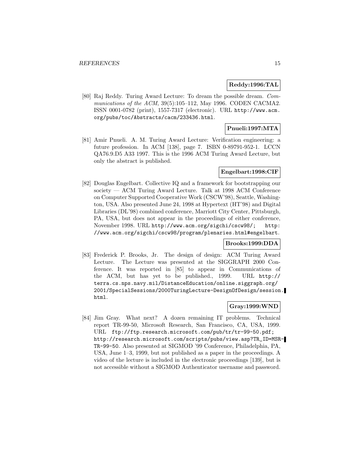### **Reddy:1996:TAL**

[80] Raj Reddy. Turing Award Lecture: To dream the possible dream. Communications of the ACM, 39(5):105-112, May 1996. CODEN CACMA2. ISSN 0001-0782 (print), 1557-7317 (electronic). URL http://www.acm. org/pubs/toc/Abstracts/cacm/233436.html.

# **Pnueli:1997:MTA**

[81] Amir Pnueli. A. M. Turing Award Lecture: Verification engineering: a future profession. In ACM [138], page 7. ISBN 0-89791-952-1. LCCN QA76.9.D5 A33 1997. This is the 1996 ACM Turing Award Lecture, but only the abstract is published.

### **Engelbart:1998:CIF**

[82] Douglas Engelbart. Collective IQ and a framework for bootstrapping our society — ACM Turing Award Lecture. Talk at 1998 ACM Conference on Computer Supported Cooperative Work (CSCW'98), Seattle, Washington, USA. Also presented June 24, 1998 at Hypertext (HT'98) and Digital Libraries (DL'98) combined conference, Marriott City Center, Pittsburgh, PA, USA, but does not appear in the proceedings of either conference, November 1998. URL http://www.acm.org/sigchi/cscw98/; http: //www.acm.org/sigchi/cscw98/program/plenaries.html#engelbart.

#### **Brooks:1999:DDA**

[83] Frederick P. Brooks, Jr. The design of design: ACM Turing Award Lecture. The Lecture was presented at the SIGGRAPH 2000 Conference. It was reported in [85] to appear in Communications of the ACM, but has yet to be published., 1999. URL http:// terra.cs.nps.navy.mil/DistanceEducation/online.siggraph.org/ 2001/SpecialSessions/2000TuringLecture-DesignOfDesign/session. html.

### **Gray:1999:WND**

[84] Jim Gray. What next? A dozen remaining IT problems. Technical report TR-99-50, Microsoft Research, San Francisco, CA, USA, 1999. URL ftp://ftp.research.microsoft.com/pub/tr/tr-99-50.pdf; http://research.microsoft.com/scripts/pubs/view.asp?TR\_ID=MSR-TR-99-50. Also presented at SIGMOD '99 Conference, Philadelphia, PA, USA, June 1–3, 1999, but not published as a paper in the proceedings. A video of the lecture is included in the electronic proceedings [139], but is not accessible without a SIGMOD Authenticator username and password.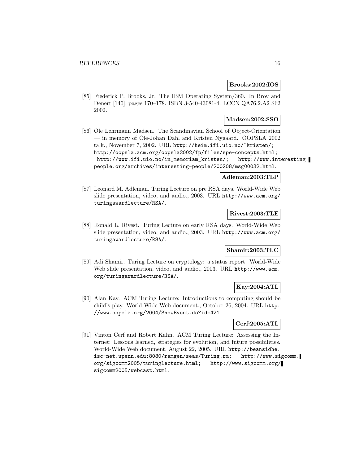### **Brooks:2002:IOS**

[85] Frederick P. Brooks, Jr. The IBM Operating System/360. In Broy and Denert [140], pages 170–178. ISBN 3-540-43081-4. LCCN QA76.2.A2 S62 2002.

# **Madsen:2002:SSO**

[86] Ole Lehrmann Madsen. The Scandinavian School of Object-Orientation — in memory of Ole-Johan Dahl and Kristen Nygaard. OOPSLA 2002 talk., November 7, 2002. URL http://heim.ifi.uio.no/~kristen/; http://oopsla.acm.org/oopsla2002/fp/files/spe-concepts.html; http://www.ifi.uio.no/in\_memoriam\_kristen/; http://www.interestingpeople.org/archives/interesting-people/200208/msg00032.html.

# **Adleman:2003:TLP**

[87] Leonard M. Adleman. Turing Lecture on pre RSA days. World-Wide Web slide presentation, video, and audio., 2003. URL http://www.acm.org/ turingawardlecture/RSA/.

# **Rivest:2003:TLE**

[88] Ronald L. Rivest. Turing Lecture on early RSA days. World-Wide Web slide presentation, video, and audio., 2003. URL http://www.acm.org/ turingawardlecture/RSA/.

### **Shamir:2003:TLC**

[89] Adi Shamir. Turing Lecture on cryptology: a status report. World-Wide Web slide presentation, video, and audio., 2003. URL http://www.acm. org/turingawardlecture/RSA/.

# **Kay:2004:ATL**

[90] Alan Kay. ACM Turing Lecture: Introductions to computing should be child's play. World-Wide Web document., October 26, 2004. URL http: //www.oopsla.org/2004/ShowEvent.do?id=421.

# **Cerf:2005:ATL**

[91] Vinton Cerf and Robert Kahn. ACM Turing Lecture: Assessing the Internet: Lessons learned, strategies for evolution, and future possibilities. World-Wide Web document, August 22, 2005. URL http://beansidhe. isc-net.upenn.edu:8080/ramgen/seas/Turing.rm; http://www.sigcomm. org/sigcomm2005/turinglecture.html; http://www.sigcomm.org/ sigcomm2005/webcast.html.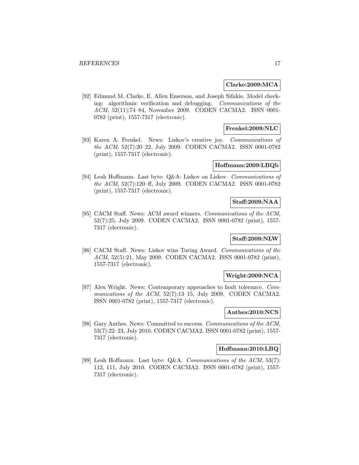#### **Clarke:2009:MCA**

[92] Edmund M. Clarke, E. Allen Emerson, and Joseph Sifakis. Model checking: algorithmic verification and debugging. Communications of the ACM, 52(11):74–84, November 2009. CODEN CACMA2. ISSN 0001- 0782 (print), 1557-7317 (electronic).

# **Frenkel:2009:NLC**

[93] Karen A. Frenkel. News: Liskov's creative joy. Communications of the ACM, 52(7):20–22, July 2009. CODEN CACMA2. ISSN 0001-0782 (print), 1557-7317 (electronic).

# **Hoffmann:2009:LBQb**

[94] Leah Hoffmann. Last byte: Q&A: Liskov on Liskov. Communications of the ACM, 52(7):120–ff, July 2009. CODEN CACMA2. ISSN 0001-0782 (print), 1557-7317 (electronic).

### **Staff:2009:NAA**

[95] CACM Staff. News: ACM award winners. Communications of the ACM, 52(7):25, July 2009. CODEN CACMA2. ISSN 0001-0782 (print), 1557- 7317 (electronic).

# **Staff:2009:NLW**

[96] CACM Staff. News: Liskov wins Turing Award. Communications of the ACM, 52(5):21, May 2009. CODEN CACMA2. ISSN 0001-0782 (print), 1557-7317 (electronic).

### **Wright:2009:NCA**

[97] Alex Wright. News: Contemporary approaches to fault tolerance. Communications of the ACM, 52(7):13-15, July 2009. CODEN CACMA2. ISSN 0001-0782 (print), 1557-7317 (electronic).

# **Anthes:2010:NCS**

[98] Gary Anthes. News: Committed to success. Communications of the ACM, 53(7):22–23, July 2010. CODEN CACMA2. ISSN 0001-0782 (print), 1557- 7317 (electronic).

# **Hoffmann:2010:LBQ**

[99] Leah Hoffmann. Last byte:  $Q\&\text{A.}$  Communications of the ACM, 53(7): 112, 111, July 2010. CODEN CACMA2. ISSN 0001-0782 (print), 1557- 7317 (electronic).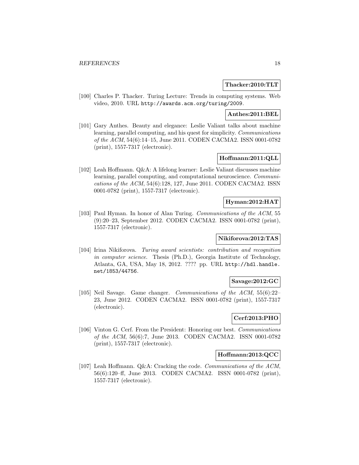### **Thacker:2010:TLT**

[100] Charles P. Thacker. Turing Lecture: Trends in computing systems. Web video, 2010. URL http://awards.acm.org/turing/2009.

# **Anthes:2011:BEL**

[101] Gary Anthes. Beauty and elegance: Leslie Valiant talks about machine learning, parallel computing, and his quest for simplicity. Communications of the ACM, 54(6):14–15, June 2011. CODEN CACMA2. ISSN 0001-0782 (print), 1557-7317 (electronic).

# **Hoffmann:2011:QLL**

[102] Leah Hoffmann. Q&A: A lifelong learner: Leslie Valiant discusses machine learning, parallel computing, and computational neuroscience. Communications of the ACM, 54(6):128, 127, June 2011. CODEN CACMA2. ISSN 0001-0782 (print), 1557-7317 (electronic).

### **Hyman:2012:HAT**

[103] Paul Hyman. In honor of Alan Turing. Communications of the ACM, 55 (9):20–23, September 2012. CODEN CACMA2. ISSN 0001-0782 (print), 1557-7317 (electronic).

### **Nikiforova:2012:TAS**

[104] Irina Nikiforova. Turing award scientists: contribution and recognition in computer science. Thesis (Ph.D.), Georgia Institute of Technology, Atlanta, GA, USA, May 18, 2012. ???? pp. URL http://hdl.handle. net/1853/44756.

# **Savage:2012:GC**

[105] Neil Savage. Game changer. Communications of the ACM, 55(6):22– 23, June 2012. CODEN CACMA2. ISSN 0001-0782 (print), 1557-7317 (electronic).

# **Cerf:2013:PHO**

[106] Vinton G. Cerf. From the President: Honoring our best. Communications of the ACM, 56(6):7, June 2013. CODEN CACMA2. ISSN 0001-0782 (print), 1557-7317 (electronic).

# **Hoffmann:2013:QCC**

[107] Leah Hoffmann. Q&A: Cracking the code. Communications of the ACM, 56(6):120–ff, June 2013. CODEN CACMA2. ISSN 0001-0782 (print), 1557-7317 (electronic).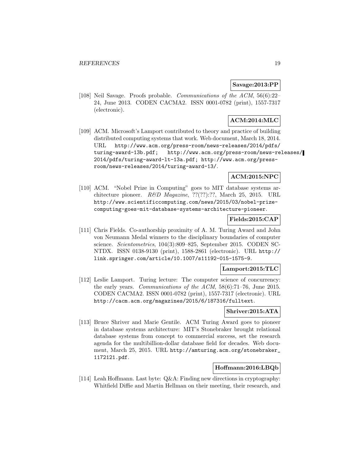# **Savage:2013:PP**

[108] Neil Savage. Proofs probable. Communications of the ACM, 56(6):22– 24, June 2013. CODEN CACMA2. ISSN 0001-0782 (print), 1557-7317 (electronic).

# **ACM:2014:MLC**

[109] ACM. Microsoft's Lamport contributed to theory and practice of building distributed computing systems that work. Web document, March 18, 2014. URL http://www.acm.org/press-room/news-releases/2014/pdfs/ turing-award-13b.pdf; http://www.acm.org/press-room/news-releases/ 2014/pdfs/turing-award-lt-13a.pdf; http://www.acm.org/pressroom/news-releases/2014/turing-award-13/.

# **ACM:2015:NPC**

[110] ACM. "Nobel Prize in Computing" goes to MIT database systems architecture pioneer.  $R\&D\ Magazine$ , ??(??):??, March 25, 2015. URL http://www.scientificcomputing.com/news/2015/03/nobel-prizecomputing-goes-mit-database-systems-architecture-pioneer.

# **Fields:2015:CAP**

[111] Chris Fields. Co-authorship proximity of A. M. Turing Award and John von Neumann Medal winners to the disciplinary boundaries of computer science. Scientometrics, 104(3):809–825, September 2015. CODEN SC-NTDX. ISSN 0138-9130 (print), 1588-2861 (electronic). URL http:// link.springer.com/article/10.1007/s11192-015-1575-9.

# **Lamport:2015:TLC**

[112] Leslie Lamport. Turing lecture: The computer science of concurrency: the early years. Communications of the ACM, 58(6):71–76, June 2015. CODEN CACMA2. ISSN 0001-0782 (print), 1557-7317 (electronic). URL http://cacm.acm.org/magazines/2015/6/187316/fulltext.

### **Shriver:2015:ATA**

[113] Bruce Shriver and Marie Gentile. ACM Turing Award goes to pioneer in database systems architecture: MIT's Stonebraker brought relational database systems from concept to commercial success, set the research agenda for the multibillion-dollar database field for decades. Web document, March 25, 2015. URL http://amturing.acm.org/stonebraker\_ 1172121.pdf.

# **Hoffmann:2016:LBQb**

[114] Leah Hoffmann. Last byte: Q&A: Finding new directions in cryptography: Whitfield Diffie and Martin Hellman on their meeting, their research, and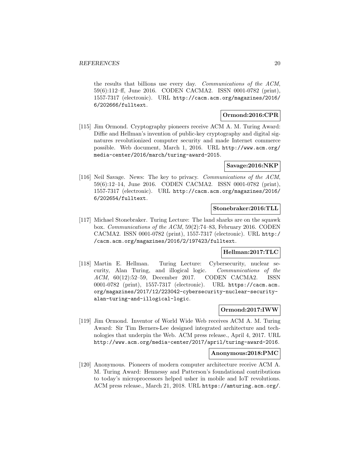the results that billions use every day. Communications of the ACM, 59(6):112–ff, June 2016. CODEN CACMA2. ISSN 0001-0782 (print), 1557-7317 (electronic). URL http://cacm.acm.org/magazines/2016/ 6/202666/fulltext.

# **Ormond:2016:CPR**

[115] Jim Ormond. Cryptography pioneers receive ACM A. M. Turing Award: Diffie and Hellman's invention of public-key cryptography and digital signatures revolutionized computer security and made Internet commerce possible. Web document, March 1, 2016. URL http://www.acm.org/ media-center/2016/march/turing-award-2015.

# **Savage:2016:NKP**

[116] Neil Savage. News: The key to privacy. Communications of the ACM, 59(6):12–14, June 2016. CODEN CACMA2. ISSN 0001-0782 (print), 1557-7317 (electronic). URL http://cacm.acm.org/magazines/2016/ 6/202654/fulltext.

### **Stonebraker:2016:TLL**

[117] Michael Stonebraker. Turing Lecture: The land sharks are on the squawk box. Communications of the ACM, 59(2):74–83, February 2016. CODEN CACMA2. ISSN 0001-0782 (print), 1557-7317 (electronic). URL http:/ /cacm.acm.org/magazines/2016/2/197423/fulltext.

### **Hellman:2017:TLC**

[118] Martin E. Hellman. Turing Lecture: Cybersecurity, nuclear security, Alan Turing, and illogical logic. Communications of the ACM, 60(12):52–59, December 2017. CODEN CACMA2. ISSN 0001-0782 (print), 1557-7317 (electronic). URL https://cacm.acm. org/magazines/2017/12/223042-cybersecurity-nuclear-securityalan-turing-and-illogical-logic.

# **Ormond:2017:IWW**

[119] Jim Ormond. Inventor of World Wide Web receives ACM A. M. Turing Award: Sir Tim Berners-Lee designed integrated architecture and technologies that underpin the Web. ACM press release., April 4, 2017. URL http://www.acm.org/media-center/2017/april/turing-award-2016.

#### **Anonymous:2018:PMC**

[120] Anonymous. Pioneers of modern computer architecture receive ACM A. M. Turing Award: Hennessy and Patterson's foundational contributions to today's microprocessors helped usher in mobile and IoT revolutions. ACM press release., March 21, 2018. URL https://amturing.acm.org/.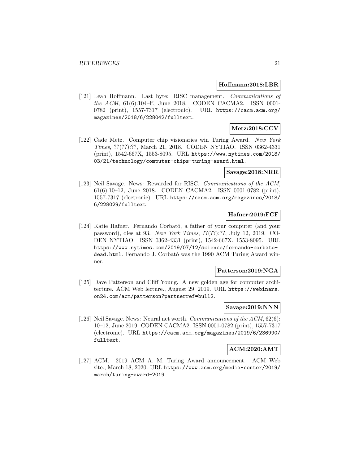#### **Hoffmann:2018:LBR**

[121] Leah Hoffmann. Last byte: RISC management. Communications of the ACM, 61(6):104–ff, June 2018. CODEN CACMA2. ISSN 0001- 0782 (print), 1557-7317 (electronic). URL https://cacm.acm.org/ magazines/2018/6/228042/fulltext.

# **Metz:2018:CCV**

[122] Cade Metz. Computer chip visionaries win Turing Award. New York Times, ??(??):??, March 21, 2018. CODEN NYTIAO. ISSN 0362-4331 (print), 1542-667X, 1553-8095. URL https://www.nytimes.com/2018/ 03/21/technology/computer-chips-turing-award.html.

# **Savage:2018:NRR**

[123] Neil Savage. News: Rewarded for RISC. Communications of the ACM, 61(6):10–12, June 2018. CODEN CACMA2. ISSN 0001-0782 (print), 1557-7317 (electronic). URL https://cacm.acm.org/magazines/2018/ 6/228029/fulltext.

# **Hafner:2019:FCF**

[124] Katie Hafner. Fernando Corbató, a father of your computer (and your password), dies at 93. New York Times, ??(??):??, July 12, 2019. CO-DEN NYTIAO. ISSN 0362-4331 (print), 1542-667X, 1553-8095. URL https://www.nytimes.com/2019/07/12/science/fernando-corbatodead.html. Fernando J. Corbató was the 1990 ACM Turing Award winner.

### **Patterson:2019:NGA**

[125] Dave Patterson and Cliff Young. A new golden age for computer architecture. ACM Web lecture., August 29, 2019. URL https://webinars. on24.com/acm/patterson?partnerref=bull2.

#### **Savage:2019:NNN**

[126] Neil Savage. News: Neural net worth. *Communications of the ACM*, 62(6): 10–12, June 2019. CODEN CACMA2. ISSN 0001-0782 (print), 1557-7317 (electronic). URL https://cacm.acm.org/magazines/2019/6/236990/ fulltext.

# **ACM:2020:AMT**

[127] ACM. 2019 ACM A. M. Turing Award announcement. ACM Web site., March 18, 2020. URL https://www.acm.org/media-center/2019/ march/turing-award-2019.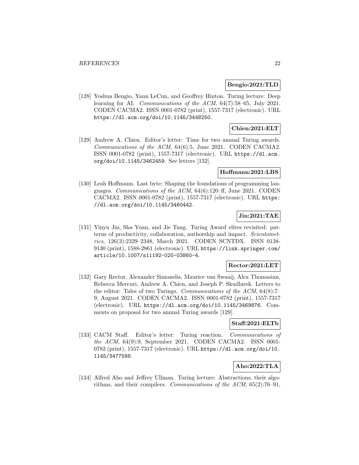### **Bengio:2021:TLD**

[128] Yoshua Bengio, Yann LeCun, and Geoffrey Hinton. Turing lecture: Deep learning for AI. Communications of the ACM, 64(7):58–65, July 2021. CODEN CACMA2. ISSN 0001-0782 (print), 1557-7317 (electronic). URL https://dl.acm.org/doi/10.1145/3448250.

# **Chien:2021:ELT**

[129] Andrew A. Chien. Editor's letter: Time for two annual Turing awards. Communications of the ACM, 64(6):5, June 2021. CODEN CACMA2. ISSN 0001-0782 (print), 1557-7317 (electronic). URL https://dl.acm. org/doi/10.1145/3462459. See letters [132].

#### **Hoffmann:2021:LBS**

[130] Leah Hoffmann. Last byte: Shaping the foundations of programming languages. Communications of the ACM, 64(6):120–ff, June 2021. CODEN CACMA2. ISSN 0001-0782 (print), 1557-7317 (electronic). URL https: //dl.acm.org/doi/10.1145/3460442.

# **Jin:2021:TAE**

[131] Yinyu Jin, Sha Yuan, and Jie Tang. Turing Award elites revisited: patterns of productivity, collaboration, authorship and impact. Scientometrics, 126(3):2329–2348, March 2021. CODEN SCNTDX. ISSN 0138- 9130 (print), 1588-2861 (electronic). URL https://link.springer.com/ article/10.1007/s11192-020-03860-4.

# **Rector:2021:LET**

[132] Gary Rector, Alexander Simonelis, Maurice van Swaaij, Alex Thomasian, Rebecca Mercuri, Andrew A. Chien, and Joseph P. Skudlarek. Letters to the editor: Tales of two Turings. Communications of the ACM, 64(8):7– 9, August 2021. CODEN CACMA2. ISSN 0001-0782 (print), 1557-7317 (electronic). URL https://dl.acm.org/doi/10.1145/3469876. Comments on proposal for two annual Turing awards [129].

# **Staff:2021:ELTb**

[133] CACM Staff. Editor's letter: Turing reaction. Communications of the ACM, 64(9):9, September 2021. CODEN CACMA2. ISSN 0001- 0782 (print), 1557-7317 (electronic). URL https://dl.acm.org/doi/10. 1145/3477598.

# **Aho:2022:TLA**

[134] Alfred Aho and Jeffrey Ullman. Turing lecture: Abstractions, their algorithms, and their compilers. Communications of the ACM, 65(2):76–91,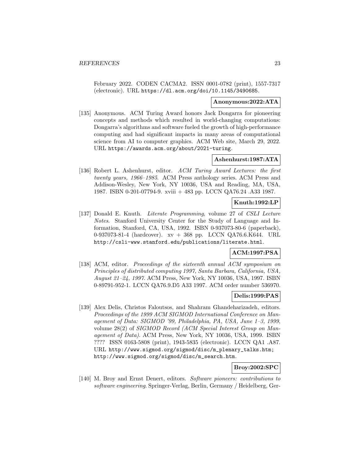February 2022. CODEN CACMA2. ISSN 0001-0782 (print), 1557-7317 (electronic). URL https://dl.acm.org/doi/10.1145/3490685.

#### **Anonymous:2022:ATA**

[135] Anonymous. ACM Turing Award honors Jack Dongarra for pioneering concepts and methods which resulted in world-changing computations: Dongarra's algorithms and software fueled the growth of high-performance computing and had significant impacts in many areas of computational science from AI to computer graphics. ACM Web site, March 29, 2022. URL https://awards.acm.org/about/2021-turing.

# **Ashenhurst:1987:ATA**

[136] Robert L. Ashenhurst, editor. ACM Turing Award Lectures: the first twenty years, 1966–1985. ACM Press anthology series. ACM Press and Addison-Wesley, New York, NY 10036, USA and Reading, MA, USA, 1987. ISBN 0-201-07794-9. xviii + 483 pp. LCCN QA76.24 .A33 1987.

# **Knuth:1992:LP**

[137] Donald E. Knuth. Literate Programming, volume 27 of CSLI Lecture Notes. Stanford University Center for the Study of Language and Information, Stanford, CA, USA, 1992. ISBN 0-937073-80-6 (paperback), 0-937073-81-4 (hardcover). xv + 368 pp. LCCN QA76.6.K644. URL http://csli-www.stanford.edu/publications/literate.html.

# **ACM:1997:PSA**

[138] ACM, editor. Proceedings of the sixteenth annual ACM symposium on Principles of distributed computing 1997, Santa Barbara, California, USA, August 21–24, 1997. ACM Press, New York, NY 10036, USA, 1997. ISBN 0-89791-952-1. LCCN QA76.9.D5 A33 1997. ACM order number 536970.

### **Delis:1999:PAS**

[139] Alex Delis, Christos Faloutsos, and Shahram Ghandeharizadeh, editors. Proceedings of the 1999 ACM SIGMOD International Conference on Management of Data: SIGMOD '99, Philadelphia, PA, USA, June 1–3, 1999, volume 28(2) of SIGMOD Record (ACM Special Interest Group on Management of Data). ACM Press, New York, NY 10036, USA, 1999. ISBN ???? ISSN 0163-5808 (print), 1943-5835 (electronic). LCCN QA1 .A87. URL http://www.sigmod.org/sigmod/disc/m\_plenary\_talks.htm; http://www.sigmod.org/sigmod/disc/m\_search.htm.

# **Broy:2002:SPC**

[140] M. Broy and Ernst Denert, editors. Software pioneers: contributions to software engineering. Springer-Verlag, Berlin, Germany / Heidelberg, Ger-